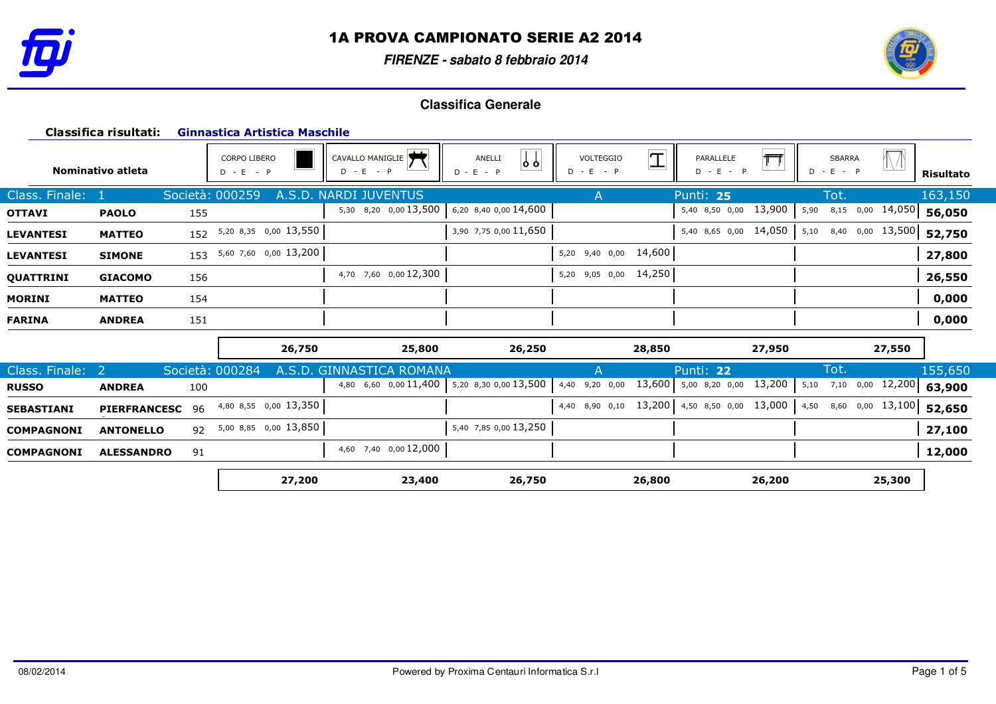

**FIRENZE - sabato 8 febbraio 2014**



|                   | Classifica risultati: |     | <b>Ginnastica Artistica Maschile</b> |                                             |                                 |                                                 |                               |                                                   |                  |  |  |  |
|-------------------|-----------------------|-----|--------------------------------------|---------------------------------------------|---------------------------------|-------------------------------------------------|-------------------------------|---------------------------------------------------|------------------|--|--|--|
|                   | Nominativo atleta     |     | <b>CORPO LIBERO</b><br>$D - E - P$   | CAVALLO MANIGLIE<br>$D - E - P$             | $\int$<br>ANELLI<br>$D - E - P$ | $\mathbb{I}$<br><b>VOLTEGGIO</b><br>$D - E - P$ | 冖<br>PARALLELE<br>$D - E - P$ | $\sqrt{\sqrt{2}}$<br><b>SBARRA</b><br>$D - E - P$ | <b>Risultato</b> |  |  |  |
| Class. Finale:    |                       |     | Società: 000259                      | A.S.D. NARDI JUVENTUS                       |                                 | A                                               | Punti: 25                     | Tot.                                              | 163,150          |  |  |  |
| <b>OTTAVI</b>     | <b>PAOLO</b>          | 155 |                                      | 5,30 8,20 0,00 13,500 6,20 8,40 0,00 14,600 |                                 |                                                 | 13,900<br>5,40 8,50 0,00      | 5,90<br>8,15 0,00 14,050                          | 56,050           |  |  |  |
| <b>LEVANTESI</b>  | <b>MATTEO</b>         |     | 152 5,20 8,35 0,00 13,550            |                                             | 3,90 7,75 0,00 11,650           |                                                 | 14,050<br>5,40 8,65 0,00      | 5,10 8,40 0,00 13,500                             | 52,750           |  |  |  |
| <b>LEVANTESI</b>  | <b>SIMONE</b>         |     | 153 5,60 7,60 0,00 13,200            |                                             |                                 | 5,20 9,40 0,00 14,600                           |                               |                                                   | 27,800           |  |  |  |
| QUATTRINI         | <b>GIACOMO</b>        | 156 |                                      | 4,70 7,60 0,00 12,300                       |                                 | 5,20 9,05 0,00 14,250                           |                               |                                                   | 26,550           |  |  |  |
| <b>MORINI</b>     | <b>MATTEO</b>         | 154 |                                      |                                             |                                 |                                                 |                               |                                                   | 0,000            |  |  |  |
| <b>FARINA</b>     | <b>ANDREA</b>         | 151 |                                      |                                             |                                 |                                                 |                               |                                                   | 0,000            |  |  |  |
|                   |                       |     | 26,750                               | 25,800                                      | 26,250                          | 28,850                                          | 27,950                        | 27,550                                            |                  |  |  |  |
| Class. Finale: 2  |                       |     | Società: 000284<br>A.S.D. GIN        | <b>ROMANA</b><br>NNASTICA                   |                                 | A                                               | Punti: 22                     | Tot.                                              | 155,650          |  |  |  |
| <b>RUSSO</b>      | <b>ANDREA</b>         | 100 |                                      | 4,80 6,60 0,00 11,400                       | 5,20 8,30 0,00 13,500           | 13,600<br>4,40 9,20 0,00                        | 13,200<br>5,00 8,20 0,00      | $0,00$ 12,200<br>5,10<br>7,10                     | 63,900           |  |  |  |
| <b>SEBASTIANI</b> | <b>PIERFRANCESC</b>   | 96  | 4,80 8,55 0,00 13,350                |                                             |                                 | 4,40 8,90 0,10                                  | 13,200 4,50 8,50 0,00 13,000  | 4,50 8,60 0,00 13,100                             | 52,650           |  |  |  |
| <b>COMPAGNONI</b> | <b>ANTONELLO</b>      | 92  | 5,00 8,85 0,00 13,850                |                                             | 5,40 7,85 0,00 13,250           |                                                 |                               |                                                   | 27,100           |  |  |  |
| <b>COMPAGNONI</b> | <b>ALESSANDRO</b>     | 91  |                                      | 4,60 7,40 0,00 12,000                       |                                 |                                                 |                               |                                                   | 12,000           |  |  |  |
|                   |                       |     | 27,200                               | 23,400                                      | 26,750                          | 26,800                                          | 26,200                        | 25,300                                            |                  |  |  |  |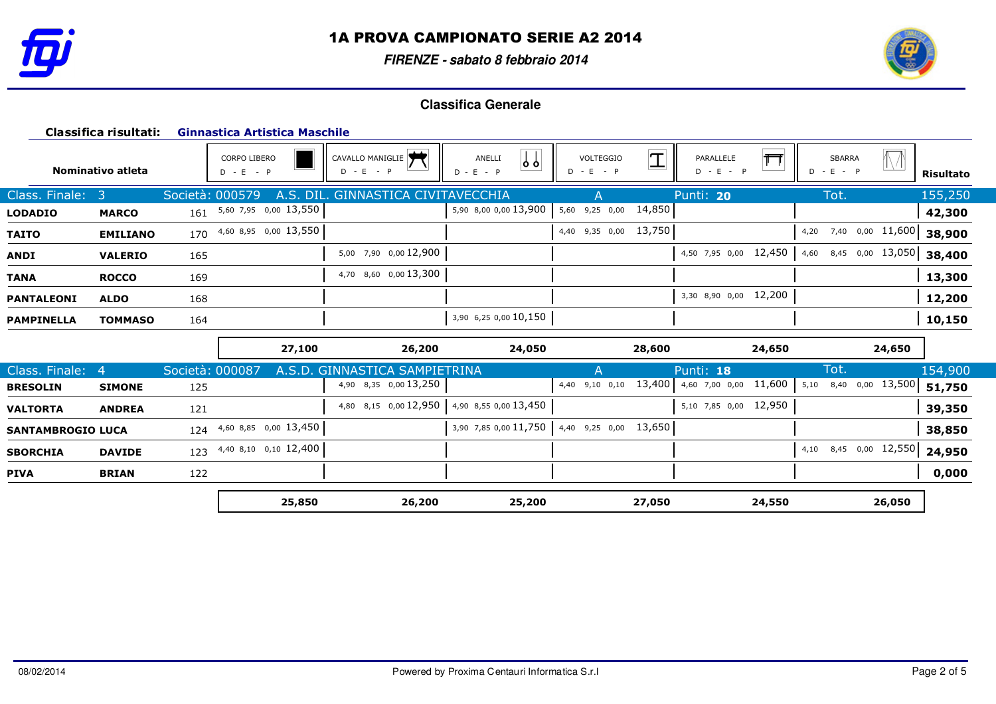

**FIRENZE - sabato 8 febbraio 2014**



|                          | Classifica risultati: |                 | Ginnastica Artistica Maschile      |                                    |                                    |                          |             |                          |        |                              |                  |                  |
|--------------------------|-----------------------|-----------------|------------------------------------|------------------------------------|------------------------------------|--------------------------|-------------|--------------------------|--------|------------------------------|------------------|------------------|
|                          | Nominativo atleta     |                 | <b>CORPO LIBERO</b><br>$D - E - P$ | CAVALLO MANIGLIE<br>$D - E - P$    | $\bigcup$<br>ANELLI<br>$D - E - P$ | VOLTEGGIO<br>$D - E - P$ | $\mathbf T$ | PARALLELE<br>$D - E - P$ |        | <b>SBARRA</b><br>$D - E - P$ |                  | <b>Risultato</b> |
| Class. Finale:           | -3                    | Società: 000579 |                                    | A.S. DIL. GINNASTICA CIVITAVECCHIA |                                    |                          |             | Punti: 20                |        | Tot.                         |                  | 155,250          |
| <b>LODADIO</b>           | <b>MARCO</b>          |                 | 161 5,60 7,95 0,00 13,550          |                                    | 5,90 8,00 0,00 13,900              | 5,60<br>9,25 0,00        | 14,850      |                          |        |                              |                  | 42,300           |
| <b>TAITO</b>             | <b>EMILIANO</b>       |                 | 170 4,60 8,95 0,00 13,550          |                                    |                                    | 4,40 9,35 0,00           | 13,750      |                          |        | 4,20                         | 7,40 0,00 11,600 | 38,900           |
| ANDI                     | <b>VALERIO</b>        | 165             |                                    | 5,00 7,90 0,00 12,900              |                                    |                          |             | 4,50 7,95 0,00 12,450    |        | 4,60                         | 8,45 0,00 13,050 | 38,400           |
| <b>TANA</b>              | <b>ROCCO</b>          | 169             |                                    | 4,70 8,60 0,00 13,300              |                                    |                          |             |                          |        |                              |                  | 13,300           |
| <b>PANTALEONI</b>        | <b>ALDO</b>           | 168             |                                    |                                    |                                    |                          |             | 3,30 8,90 0,00 12,200    |        |                              |                  | 12,200           |
| <b>PAMPINELLA</b>        | <b>TOMMASO</b>        | 164             |                                    |                                    | 3,90 6,25 0,00 10,150              |                          |             |                          |        |                              |                  | 10,150           |
|                          |                       |                 | 27,100                             | 26,200                             | 24,050                             |                          | 28,600      |                          | 24,650 |                              | 24,650           |                  |
| Class. Finale:           | 4                     | Società: 000087 |                                    | A.S.D. GINNASTICA SAMPIETRINA      |                                    | A                        |             | Punti: 18                |        | Tot.                         |                  | 154,900          |
| <b>BRESOLIN</b>          | <b>SIMONE</b>         | 125             |                                    | 4,90 8,35 0,00 13,250              |                                    | 4,40 9,10 0,10           | 13,400      | 4,60 7,00 0,00 11,600    |        | 5,10                         | 8,40 0,00 13,500 | 51,750           |
| <b>VALTORTA</b>          | <b>ANDREA</b>         | 121             |                                    | 4,80 8,15 0,00 12,950              | 4,90 8,55 0,00 13,450              |                          |             | 5,10 7,85 0,00 12,950    |        |                              |                  | 39,350           |
| <b>SANTAMBROGIO LUCA</b> |                       | 124             | 4,60 8,85 0,00 13,450              |                                    | 3,90 7,85 0,00 11,750              | $4,40$ 9,25 0,00 13,650  |             |                          |        |                              |                  | 38,850           |
| <b>SBORCHIA</b>          | <b>DAVIDE</b>         |                 | 123 4,40 8,10 0,10 12,400          |                                    |                                    |                          |             |                          |        | 4,10                         | 8,45 0,00 12,550 | 24,950           |
| <b>PIVA</b>              | <b>BRIAN</b>          | 122             |                                    |                                    |                                    |                          |             |                          |        |                              |                  | 0,000            |
|                          |                       |                 | 25,850                             | 26,200                             | 25,200                             |                          | 27,050      |                          | 24,550 |                              | 26,050           |                  |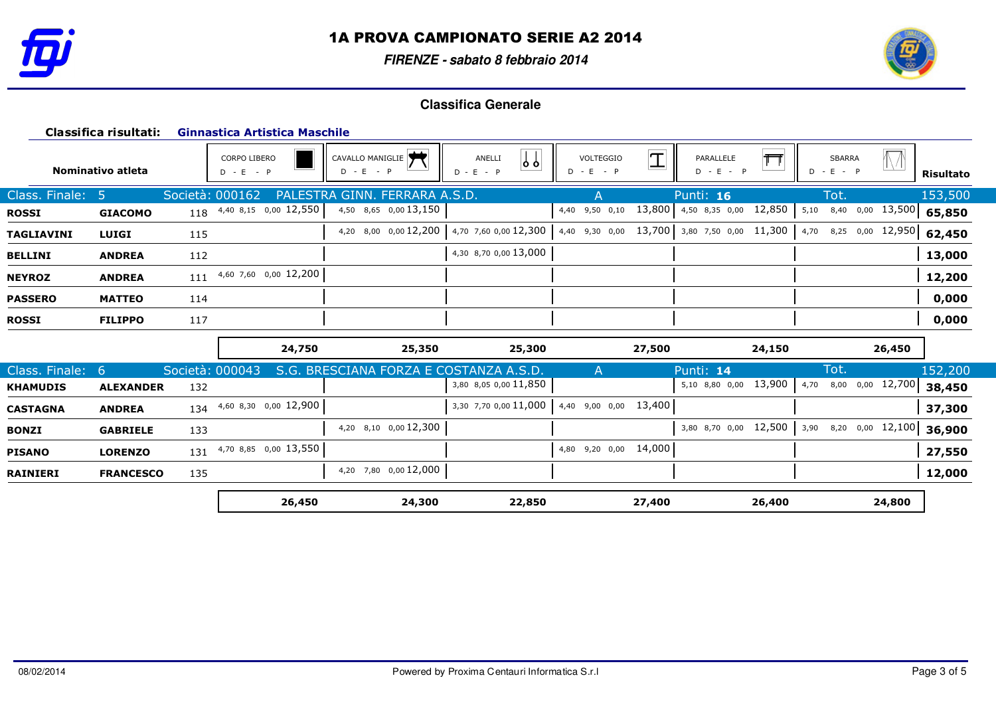

**FIRENZE - sabato 8 febbraio 2014**



|                 | Classifica risultati: |     | <b>Ginnastica Artistica Maschile</b> |                                        |                                       |                                          |                                 |                          |                  |  |  |  |  |
|-----------------|-----------------------|-----|--------------------------------------|----------------------------------------|---------------------------------------|------------------------------------------|---------------------------------|--------------------------|------------------|--|--|--|--|
|                 | Nominativo atleta     |     | CORPO LIBERO<br>$D - E - P$          | CAVALLO MANIGLIE<br>$D - E - P$        | $\downarrow$<br>ANELLI<br>$D - E - P$ | $\mathbb{I}$<br>VOLTEGGIO<br>$D - E - P$ | PARALLELE<br>$D - E - P$        | SBARRA<br>$D - E - P$    | <b>Risultato</b> |  |  |  |  |
| Class. Finale:  | -5                    |     | Società: 000162<br><b>PALESTRA</b>   | GINN. FERRARA A.S.D.                   |                                       |                                          | Punti: 16                       | Tot.                     | 153,500          |  |  |  |  |
| <b>ROSSI</b>    | <b>GIACOMO</b>        |     | 118 4,40 8,15 0,00 12,550            | 4,50 8,65 0,00 13,150                  |                                       | 4,40 9,50 0,10                           | 12,850<br>13,800 4,50 8,35 0,00 | 5,10 8,40 0,00 13,500    | 65,850           |  |  |  |  |
| TAGLIAVINI      | <b>LUIGI</b>          | 115 |                                      | 4,20 8,00 0,00 12,200                  | 4,70 7,60 0,00 12,300                 | 4,40 9,30 0,00                           | 13,700 3,80 7,50 0,00 11,300    | 4,70 8,25 0,00 12,950    | 62,450           |  |  |  |  |
| BELLINI         | <b>ANDREA</b>         | 112 |                                      |                                        | 4,30 8,70 0,00 13,000                 |                                          |                                 |                          | 13,000           |  |  |  |  |
| <b>NEYROZ</b>   | <b>ANDREA</b>         | 111 | 4,60 7,60 0,00 12,200                |                                        |                                       |                                          |                                 |                          | 12,200           |  |  |  |  |
| <b>PASSERO</b>  | <b>MATTEO</b>         | 114 |                                      |                                        |                                       |                                          |                                 |                          | 0,000            |  |  |  |  |
| <b>ROSSI</b>    | <b>FILIPPO</b>        | 117 |                                      |                                        |                                       |                                          |                                 |                          | 0,000            |  |  |  |  |
|                 |                       |     | 24,750                               | 25,350                                 | 25,300                                | 27,500                                   | 24,150                          | 26,450                   |                  |  |  |  |  |
| Class. Finale:  | -6                    |     | Società: 000043                      | S.G. BRESCIANA FORZA E COSTANZA A.S.D. |                                       | $\mathsf{A}$                             | Punti: 14                       | Tot.                     | 152,200          |  |  |  |  |
| <b>KHAMUDIS</b> | <b>ALEXANDER</b>      | 132 |                                      |                                        | 3,80 8,05 0,00 11,850                 |                                          | 13,900<br>5,10 8,80 0,00        | 8,00 0,00 12,700<br>4,70 | 38,450           |  |  |  |  |
| CASTAGNA        | <b>ANDREA</b>         | 134 | 4,60 8,30 0,00 12,900                |                                        | 3,30 7,70 0,00 11,000                 | 13,400<br>4,40 9,00 0,00                 |                                 |                          | 37,300           |  |  |  |  |
| BONZI           | <b>GABRIELE</b>       | 133 |                                      | 4,20 8,10 0,00 12,300                  |                                       |                                          | 3,80 8,70 0,00 12,500           | 3,90 8,20 0,00 12,100    | 36,900           |  |  |  |  |
| PISANO          | <b>LORENZO</b>        | 131 | 4,70 8,85 0,00 13,550                |                                        |                                       | 14,000<br>4,80 9,20 0,00                 |                                 |                          | 27,550           |  |  |  |  |
| RAINIERI        | <b>FRANCESCO</b>      | 135 |                                      | 4,20 7,80 0,00 12,000                  |                                       |                                          |                                 |                          | 12,000           |  |  |  |  |
|                 |                       |     | 26,450                               | 24,300                                 | 22,850                                | 27,400                                   | 26,400                          | 24,800                   |                  |  |  |  |  |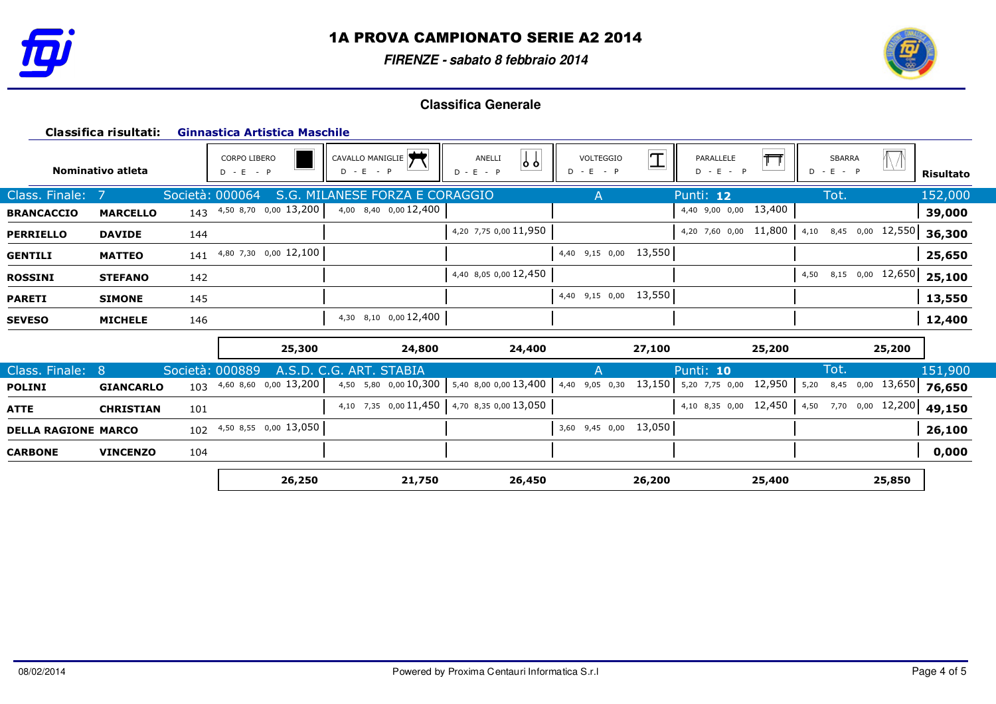

**FIRENZE - sabato 8 febbraio 2014**



|                            | Classifica risultati: |                 | <b>Ginnastica Artistica Maschile</b> |                                             |                                       |                                          |                          |                                                                                                |           |
|----------------------------|-----------------------|-----------------|--------------------------------------|---------------------------------------------|---------------------------------------|------------------------------------------|--------------------------|------------------------------------------------------------------------------------------------|-----------|
|                            | Nominativo atleta     |                 | CORPO LIBERO<br>$D - E - P$          | CAVALLO MANIGLIE<br>$D - E - P$             | $\downarrow$<br>ANELLI<br>$D - E - P$ | $\mathbb{I}$<br>VOLTEGGIO<br>$D - E - P$ | PARALLELE<br>$D - E - P$ | <b>SBARRA</b><br>$D - E - P$                                                                   | Risultato |
| Class. Finale:             |                       | Società: 000064 | S.G.                                 | MILANESE FORZA E CORAGGIO                   |                                       | A                                        | Punti: 12                | Tot.                                                                                           | 152,000   |
| <b>BRANCACCIO</b>          | <b>MARCELLO</b>       |                 | 143 4,50 8,70 0,00 13,200            | 4,00 8,40 0,00 12,400                       |                                       |                                          | 13,400<br>4,40 9,00 0,00 |                                                                                                | 39,000    |
| <b>PERRIELLO</b>           | <b>DAVIDE</b>         | 144             |                                      |                                             | 4,20 7,75 0,00 11,950                 |                                          | 4,20 7,60 0,00 11,800    | 8,45 0,00 12,550<br>4,10                                                                       | 36,300    |
| <b>GENTILI</b>             | <b>MATTEO</b>         | 141             | 4,80 7,30 0,00 12,100                |                                             |                                       | 4,40 9,15 0,00 13,550                    |                          |                                                                                                | 25,650    |
| <b>ROSSINI</b>             | <b>STEFANO</b>        | 142             |                                      |                                             | 4,40 8,05 0,00 12,450                 |                                          |                          | 4,50 8,15 0,00 12,650                                                                          | 25,100    |
| <b>PARETI</b>              | <b>SIMONE</b>         | 145             |                                      |                                             |                                       | 4,40 9,15 0,00 13,550                    |                          |                                                                                                | 13,550    |
| <b>SEVESO</b>              | <b>MICHELE</b>        | 146             |                                      | 4,30 8,10 0,00 12,400                       |                                       |                                          |                          |                                                                                                | 12,400    |
|                            |                       |                 | 25,300                               | 24,800                                      | 24,400                                | 27,100                                   | 25,200                   | 25,200                                                                                         |           |
| Class. Finale:             | 8                     | Società: 000889 | A.S.D. C.G.                          | ART. STABIA                                 |                                       | A                                        | Punti: 10                | Tot.                                                                                           | 151,900   |
| <b>POLINI</b>              | <b>GIANCARLO</b>      | 103             | 4,60 8,60 0,00 13,200                | 4,50 5,80 0,00 10,300 5,40 8,00 0,00 13,400 |                                       | 13,150<br>4,40 9,05 0,30                 | 12,950<br>5,20 7,75 0,00 | $\begin{array}{ c c c c c } \hline 0,00 & 13,650 \\ \hline \end{array}$ 76,650<br>5,20<br>8,45 |           |
| ATTE                       | <b>CHRISTIAN</b>      | 101             |                                      | 4,10 7,35 0,00 11,450 4,70 8,35 0,00 13,050 |                                       |                                          | 4,10 8,35 0,00 12,450    | 4,50 7,70 0,00 12,200                                                                          | 49,150    |
| <b>DELLA RAGIONE MARCO</b> |                       | 102             | 4,50 8,55 0,00 13,050                |                                             |                                       | 13,050<br>3,60 9,45 0,00                 |                          |                                                                                                | 26,100    |
| <b>CARBONE</b>             | <b>VINCENZO</b>       | 104             |                                      |                                             |                                       |                                          |                          |                                                                                                | 0,000     |
|                            |                       |                 | 26,250                               | 21,750                                      | 26,450                                | 26,200                                   | 25,400                   | 25,850                                                                                         |           |